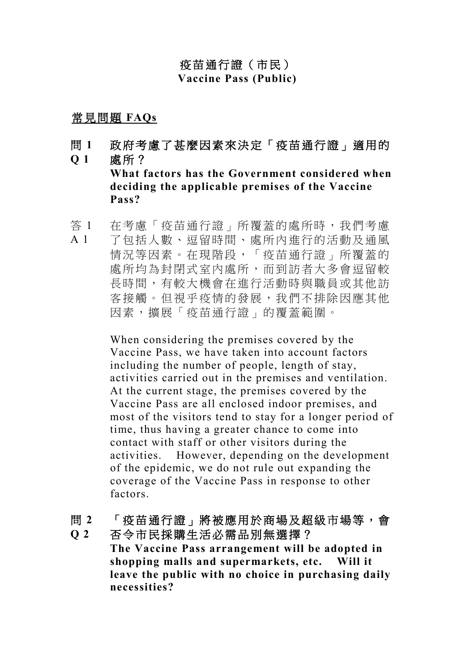# 疫苗通行證(市民) **Vaccine Pass (Public)**

# 常見問題 **FAQs**

- 問 **1 Q 1** 政府考慮了甚麼因素來決定「疫苗通行證」適用的 處所? **What factors has the Government considered when deciding the applicable premises of the Vaccine Pass?**
- 答 1 A 1 在考慮「疫苗通行證」所覆蓋的處所時,我們考慮 了包括人數、逗留時間、處所內進行的活動及通風 情況等因素。在現階段,「疫苗通行證」所覆蓋的 處所均為封閉式室內處所,而到訪者大多會逗留較 長時間,有較大機會在進行活動時與職員或其他訪 客接觸。但視乎疫情的發展,我們不排除因應其他 因素,擴展「疫苗通行證」的覆蓋範圍。

When considering the premises covered by the Vaccine Pass, we have taken into account factors including the number of people, length of stay, activities carried out in the premises and ventilation. At the current stage, the premises covered by the Vaccine Pass are all enclosed indoor premises, and most of the visitors tend to stay for a longer period of time, thus having a greater chance to come into contact with staff or other visitors during the activities. However, depending on the development of the epidemic, we do not rule out expanding the coverage of the Vaccine Pass in response to other factors.

#### 問 **2** 「疫苗通行證」將被應用於商場及超級市場等,會

**Q 2** 否令市民採購生活必需品別無選擇? **The Vaccine Pass arrangement will be adopted in shopping malls and supermarkets, etc. Will it leave the public with no choice in purchasing daily necessities?**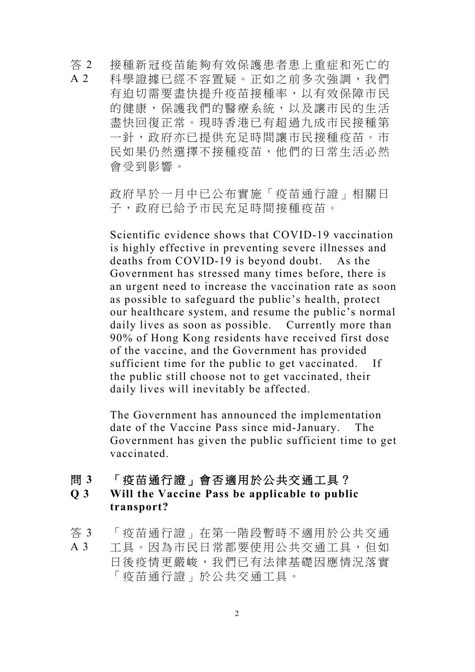答 2  $A$  2 接種新冠疫苗能夠有效保護患者患上重症和死亡的 科學證據已經不容置疑。正如之前多次強調,我們 有迫切需要盡快提升疫苗接種率,以有效保障市民 的健康,保護我們的醫療系統,以及讓市民的生活 盡快回復正常。現時香港已有超過九成市民接種第 一針,政府亦已提供充足時間讓市民接種疫苗。市 民如果仍然選擇不接種疫苗,他們的日常生活必然 會受到影響。

> 政府早於一月中已公布實施「疫苗通行證」相關日 子,政府已給予市民充足時間接種疫苗。

Scientific evidence shows that COVID-19 vaccination is highly effective in preventing severe illnesses and deaths from COVID-19 is beyond doubt. As the Government has stressed many times before, there is an urgent need to increase the vaccination rate as soon as possible to safeguard the public's health, protect our healthcare system, and resume the public's normal daily lives as soon as possible. Currently more than 90% of Hong Kong residents have received first dose of the vaccine, and the Government has provided sufficient time for the public to get vaccinated. If the public still choose not to get vaccinated, their daily lives will inevitably be affected.

The Government has announced the implementation date of the Vaccine Pass since mid-January. The Government has given the public sufficient time to get vaccinated.

#### 問 **3** 「疫苗通行證」會否適用於公共交通工具?

### **Q 3 Will the Vaccine Pass be applicable to public transport?**

- 答 3 「疫苗通行證」在第一階段暫時不適用於公共交通
- A 3 工具。因為市民日常都要使用公共交通工具,但如 日後疫情更嚴峻,我們已有法律基礎因應情況落實 「疫苗通行證」於公共交通工具。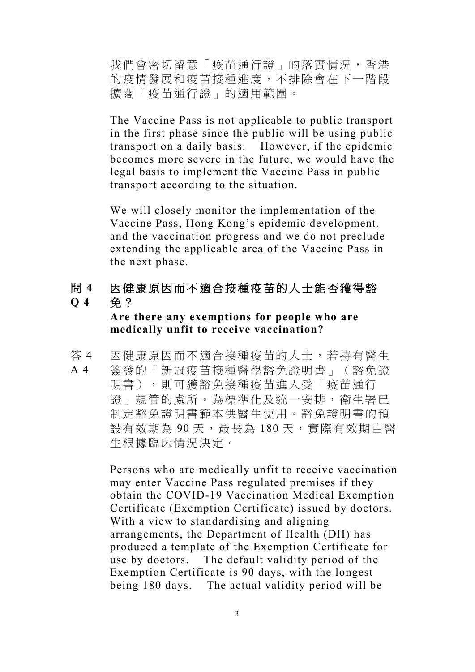我們會密切留意「疫苗通行證」的落實情況,香港 的疫情發展和疫苗接種進度,不排除會在下一階段 擴闊「疫苗通行證」的適用範圍。

The Vaccine Pass is not applicable to public transport in the first phase since the public will be using public transport on a daily basis. However, if the epidemic becomes more severe in the future, we would have the legal basis to implement the Vaccine Pass in public transport according to the situation.

We will closely monitor the implementation of the Vaccine Pass, Hong Kong's epidemic development, and the vaccination progress and we do not preclude extending the applicable area of the Vaccine Pass in the next phase.

#### 問 **4 Q 4** 因健康原因而不適合接種疫苗的人士能否獲得豁 免?

# **Are there any exemptions for people who are medically unfit to receive vaccination?**

答 4 A 4 因健康原因而不適合接種疫苗的人士,若持有醫生 簽發的「新冠疫苗接種醫學豁免證明書」(豁免證 明書),則可獲豁免接種疫苗進入受「疫苗通行 證」規管的處所。為標準化及統一安排,衞生署已 制定豁免證明書範本供醫生使用。豁免證明書的預 設有效期為 90天,最長為 180天,實際有效期由醫 生根據臨床情況決定。

> Persons who are medically unfit to receive vaccination may enter Vaccine Pass regulated premises if they obtain the COVID-19 Vaccination Medical Exemption Certificate (Exemption Certificate) issued by doctors. With a view to standardising and aligning arrangements, the Department of Health (DH) has produced a template of the Exemption Certificate for use by doctors. The default validity period of the Exemption Certificate is 90 days, with the longest being 180 days. The actual validity period will be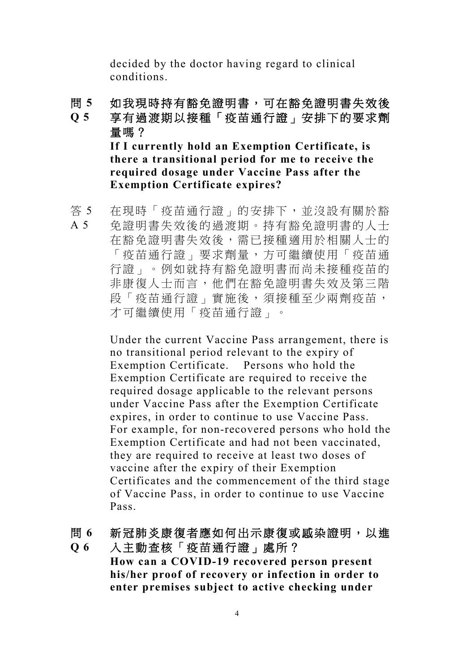decided by the doctor having regard to clinical conditions.

問 **5 Q 5** 如我現時持有豁免證明書,可在豁免證明書失效後 享有過渡期以接種「疫苗通行證」安排下的要求劑 量嗎? **If I currently hold an Exemption Certificate, is there a transitional period for me to receive the required dosage under Vaccine Pass after the** 

**Exemption Certificate expires?**

答 5 A 5 在現時「疫苗通行證」的安排下,並沒設有關於豁 免證明書失效後的過渡期。持有豁免證明書的人士 在豁免證明書失效後,需已接種適用於相關人士的 「疫苗通行證」要求劑量,方可繼續使用「疫苗通 行證」。例如就持有豁免證明書而尚未接種疫苗的 非康復人士而言,他們在豁免證明書失效及第三階 段「疫苗通行證」實施後,須接種至少兩劑疫苗, 才可繼續使用「疫苗通行證」。

> Under the current Vaccine Pass arrangement, there is no transitional period relevant to the expiry of Exemption Certificate. Persons who hold the Exemption Certificate are required to receive the required dosage applicable to the relevant persons under Vaccine Pass after the Exemption Certificate expires, in order to continue to use Vaccine Pass. For example, for non-recovered persons who hold the Exemption Certificate and had not been vaccinated, they are required to receive at least two doses of vaccine after the expiry of their Exemption Certificates and the commencement of the third stage of Vaccine Pass, in order to continue to use Vaccine Pass.

問 **6 Q 6** 新冠肺炎康復者應如何出示康復或感染證明,以進 入主動查核「疫苗通行證」處所? **How can a COVID-19 recovered person present his/her proof of recovery or infection in order to enter premises subject to active checking under**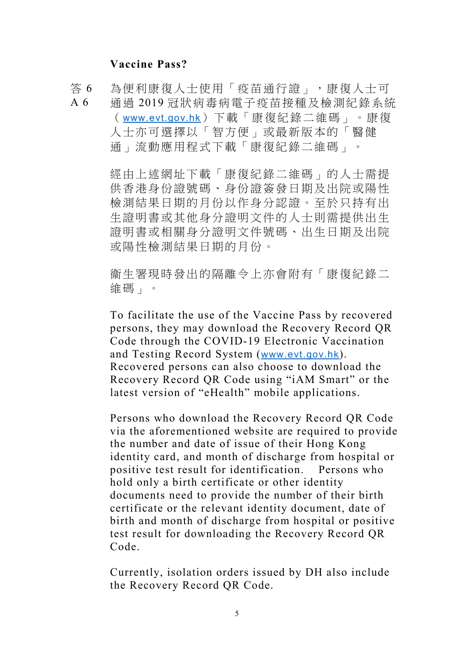## **Vaccine Pass?**

答 6 A 6 為便利康復人士使用「疫苗通行證」,康復人士可 通過 2019 冠狀病毒病電子疫苗接種及檢測紀錄系統 ([www.evt.gov.hk](http://www.evt.gov.hk/))下載「康復紀錄二維碼」。康復 人士亦可選擇以「智方便」或最新版本的「醫健 通」流動應用程式下載「康復紀錄二維碼」。

> 經由上述網址下載「康復紀錄二維碼」的人士需提 供香港身份證號碼、身份證簽發日期及出院或陽性 檢測結果日期的月份以作身分認證。至於只持有出 生證明書或其他身分證明文件的人士則需提供出生 證明書或相關身分證明文件號碼、出生日期及出院 或陽性檢測結果日期的月份。

> 衞生署現時發出的隔離令上亦會附有「康復紀錄二 維碼」。

To facilitate the use of the Vaccine Pass by recovered persons, they may download the Recovery Record QR Code through the COVID-19 Electronic Vaccination and Testing Record System ([www.evt.gov.hk](http://www.evt.gov.hk/)). Recovered persons can also choose to download the Recovery Record QR Code using "iAM Smart" or the latest version of "eHealth" mobile applications.

Persons who download the Recovery Record QR Code via the aforementioned website are required to provide the number and date of issue of their Hong Kong identity card, and month of discharge from hospital or positive test result for identification. Persons who hold only a birth certificate or other identity documents need to provide the number of their birth certificate or the relevant identity document, date of birth and month of discharge from hospital or positive test result for downloading the Recovery Record QR Code.

Currently, isolation orders issued by DH also include the Recovery Record QR Code.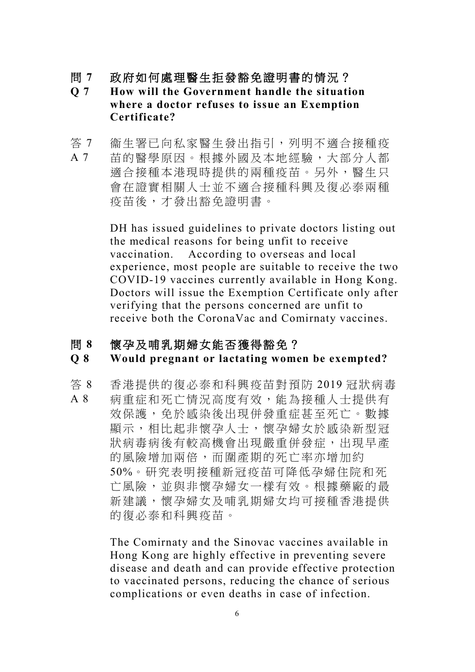- 問 **7** 政府如何處理醫生拒發豁免證明書的情況?
- **Q 7 How will the Government handle the situation where a doctor refuses to issue an Exemption Certificate?**
- 答 7 A 7 衞生署已向私家醫生發出指引,列明不適合接種疫 苗的醫學原因。根據外國及本地經驗,大部分人都 適合接種本港現時提供的兩種疫苗。另外,醫生只 會在證實相關人士並不適合接種科興及復必泰兩種 疫苗後,才發出豁免證明書。

DH has issued guidelines to private doctors listing out the medical reasons for being unfit to receive vaccination. According to overseas and local experience, most people are suitable to receive the two COVID-19 vaccines currently available in Hong Kong. Doctors will issue the Exemption Certificate only after verifying that the persons concerned are unfit to receive both the CoronaVac and Comirnaty vaccines.

#### 問 **8** 懷孕及哺乳期婦女能否獲得豁免?

#### **Q 8 Would pregnant or lactating women be exempted?**

答 8 A 8 香港提供的復必泰和科興疫苗對預防 2019 冠狀病毒 病重症和死亡情況高度有效,能為接種人士提供有 效保護,免於感染後出現併發重症甚至死亡。數據 顯示,相比起非懷孕人士,懷孕婦女於感染新型冠 狀病毒病後有較高機會出現嚴重併發症,出現早產 的風險增加兩倍,而圍產期的死亡率亦增加約 50%。研究表明接種新冠疫苗可降低孕婦住院和死 亡風險,並與非懷孕婦女一樣有效。根據藥廠的最 新建議,懷孕婦女及哺乳期婦女均可接種香港提供 的復必泰和科興疫苗。

> The Comirnaty and the Sinovac vaccines available in Hong Kong are highly effective in preventing severe disease and death and can provide effective protection to vaccinated persons, reducing the chance of serious complications or even deaths in case of infection.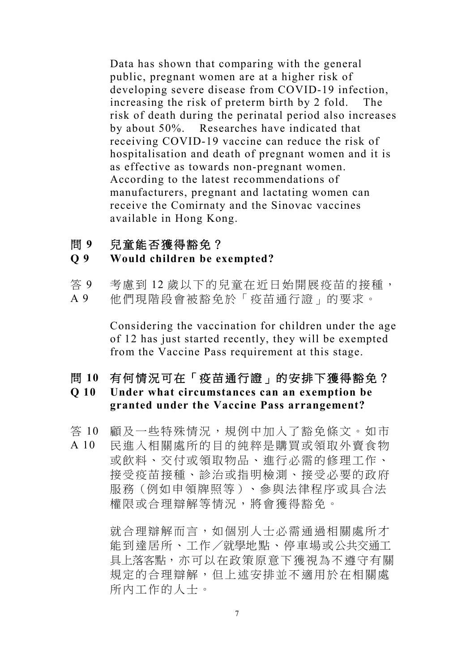Data has shown that comparing with the general public, pregnant women are at a higher risk of developing severe disease from COVID-19 infection, increasing the risk of preterm birth by 2 fold. The risk of death during the perinatal period also increases by about 50%. Researches have indicated that receiving COVID-19 vaccine can reduce the risk of hospitalisation and death of pregnant women and it is as effective as towards non-pregnant women. According to the latest recommendations of manufacturers, pregnant and lactating women can receive the Comirnaty and the Sinovac vaccines available in Hong Kong.

問 **9** 兒童能否獲得豁免?

#### **Q 9 Would children be exempted?**

- 答 9 考慮到12 歲以下的兒童在近日始開展疫苗的接種,
- A 9 他們現階段會被豁免於「疫苗通行證」的要求。

Considering the vaccination for children under the age of 12 has just started recently, they will be exempted from the Vaccine Pass requirement at this stage.

問 **10** 有何情況可在「疫苗通行證」的安排下獲得豁免?

## **Q 10 Under what circumstances can an exemption be granted under the Vaccine Pass arrangement?**

- 答 10 顧及一些特殊情況,規例中加入了豁免條文。如市
- A 10 民進入相關處所的目的純粹是購買或領取外賣食物 或飲料、交付或領取物品、進行必需的修理工作、 接受疫苗接種、診治或指明檢測、接受必要的政府 服務(例如申領牌照等)、參與法律程序或具合法 權限或合理辯解等情況,將會獲得豁免。

就合理辯解而言,如個別人士必需通過相關處所才 能到達居所、工作/就學地點、停車場或公共交通工 具上落客點,亦可以在政策原意下獲視為不遵守有關 規定的合理辯解,但上述安排並不適用於在相關處 所內工作的人士。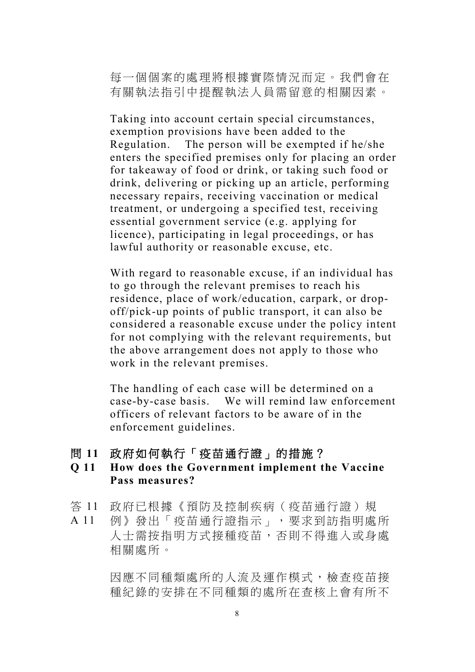每一個個案的處理將根據實際情況而定。我們會在 有關執法指引中提醒執法人員需留意的相關因素。

Taking into account certain special circumstances, exemption provisions have been added to the Regulation. The person will be exempted if he/she enters the specified premises only for placing an order for takeaway of food or drink, or taking such food or drink, delivering or picking up an article, performing necessary repairs, receiving vaccination or medical treatment, or undergoing a specified test, receiving essential government service (e.g. applying for licence), participating in legal proceedings, or has lawful authority or reasonable excuse, etc.

With regard to reasonable excuse, if an individual has to go through the relevant premises to reach his residence, place of work/education, carpark, or dropoff/pick-up points of public transport, it can also be considered a reasonable excuse under the policy intent for not complying with the relevant requirements, but the above arrangement does not apply to those who work in the relevant premises.

The handling of each case will be determined on a case-by-case basis. We will remind law enforcement officers of relevant factors to be aware of in the enforcement guidelines.

問 **11** 政府如何執行「疫苗通行證」的措施?

### **Q 11 How does the Government implement the Vaccine Pass measures?**

- 答 11 政府已根據《預防及控制疾病(疫苗通行證)規
- A 11 例》發出「疫苗通行證指示」,要求到訪指明處所 人士需按指明方式接種疫苗,否則不得進入或身處 相關處所。

因應不同種類處所的人流及運作模式,檢查疫苗接 種紀錄的安排在不同種類的處所在查核上會有所不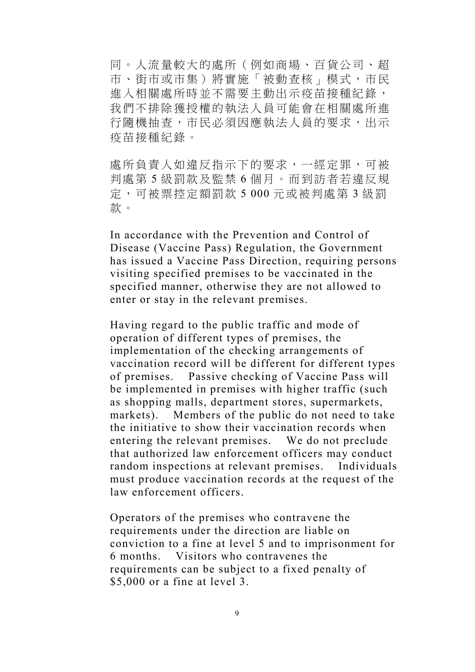同。人流量較大的處所(例如商場、百貨公司、超 市、街市或市集)將實施「被動查核」模式,市民 進入相關處所時並不需要主動出示疫苗接種紀錄, 我們不排除獲授權的執法人員可能會在相關處所進 行隨機抽查,市民必須因應執法人員的要求,出示 疫苗接種紀錄。

處所負責人如違反指示下的要求,一經定罪,可被 判處第 5 級罰款及監禁 6 個月。而到訪者若違反規 定,可被票控定額罰款 5 000 元或被判處第 3 級罰 款。

In accordance with the Prevention and Control of Disease (Vaccine Pass) Regulation, the Government has issued a Vaccine Pass Direction, requiring persons visiting specified premises to be vaccinated in the specified manner, otherwise they are not allowed to enter or stay in the relevant premises.

Having regard to the public traffic and mode of operation of different types of premises, the implementation of the checking arrangements of vaccination record will be different for different types of premises. Passive checking of Vaccine Pass will be implemented in premises with higher traffic (such as shopping malls, department stores, supermarkets, markets). Members of the public do not need to take the initiative to show their vaccination records when entering the relevant premises. We do not preclude that authorized law enforcement officers may conduct random inspections at relevant premises. Individuals must produce vaccination records at the request of the law enforcement officers.

Operators of the premises who contravene the requirements under the direction are liable on conviction to a fine at level 5 and to imprisonment for 6 months. Visitors who contravenes the requirements can be subject to a fixed penalty of \$5,000 or a fine at level 3.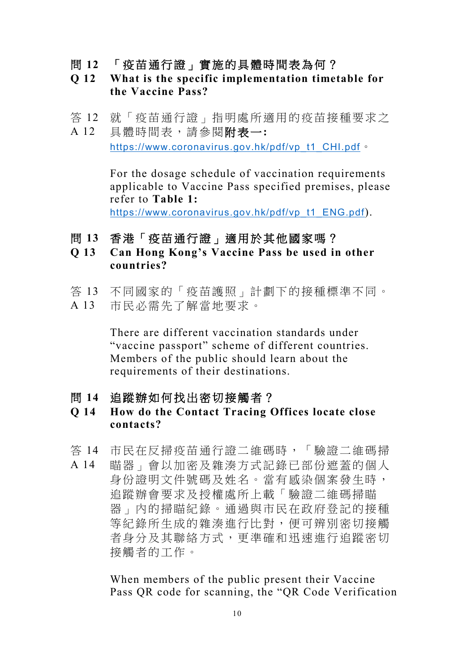- 問 **12** 「疫苗通行證」實施的具體時間表為何?
- **Q 12 What is the specific implementation timetable for the Vaccine Pass?**
- 答 12 就「疫苗通行證」指明處所適用的疫苗接種要求之
- A 12 具體時間表,請參閱附表一**:**  [https://www.coronavirus.gov.hk/pdf/vp\\_t1\\_CHI.pdf](https://www.coronavirus.gov.hk/pdf/vp_t1_CHI.pdf)。

For the dosage schedule of vaccination requirements applicable to Vaccine Pass specified premises, please refer to **Table 1:**  [https://www.coronavirus.gov.hk/pdf/vp\\_t1\\_ENG.pdf](https://www.coronavirus.gov.hk/pdf/vp_t1_ENG.pdf)).

- 問 **13** 香港「疫苗通行證」適用於其他國家嗎?
- **Q 13 Can Hong Kong's Vaccine Pass be used in other countries?**
- 答 13 不同國家的「疫苗護照」計劃下的接種標準不同。
- A 13 市民必需先了解當地要求。

There are different vaccination standards under "vaccine passport" scheme of different countries. Members of the public should learn about the requirements of their destinations.

- 問 **14** 追蹤辦如何找出密切接觸者?
- **Q 14 How do the Contact Tracing Offices locate close contacts?**
- 答 14 市民在反掃疫苗通行證二維碼時,「驗證二維碼掃
- A 14 瞄器」會以加密及雜湊方式記錄已部份遮蓋的個人 身份證明文件號碼及姓名。當有感染個案發生時, 追蹤辦會要求及授權處所上載「驗證二維碼掃瞄 器」內的掃瞄紀錄。通過與市民在政府登記的接種 等紀錄所生成的雜湊進行比對,便可辨別密切接觸 者身分及其聯絡方式,更準確和迅速進行追蹤密切 接觸者的工作。

When members of the public present their Vaccine Pass QR code for scanning, the "QR Code Verification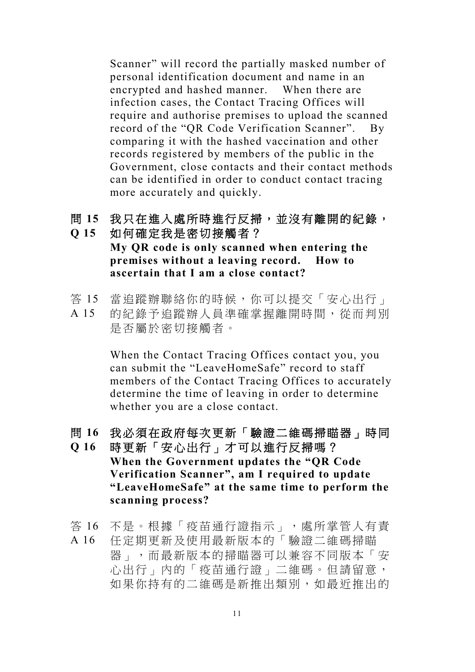Scanner" will record the partially masked number of personal identification document and name in an encrypted and hashed manner. When there are infection cases, the Contact Tracing Offices will require and authorise premises to upload the scanned record of the "QR Code Verification Scanner". By comparing it with the hashed vaccination and other records registered by members of the public in the Government, close contacts and their contact methods can be identified in order to conduct contact tracing more accurately and quickly.

# 問 **15** 我只在進入處所時進行反掃,並沒有離開的紀錄,

**Q 15** 如何確定我是密切接觸者? **My QR code is only scanned when entering the premises without a leaving record. How to ascertain that I am a close contact?**

- 答 15 當追蹤辦聯絡你的時候,你可以提交「安心出行」
- A 15 的紀錄予追蹤辦人員準確掌握離開時間,從而判別 是否屬於密切接觸者。

When the Contact Tracing Offices contact you, you can submit the "LeaveHomeSafe" record to staff members of the Contact Tracing Offices to accurately determine the time of leaving in order to determine whether you are a close contact.

- 問 **16** 我必須在政府每次更新「驗證二維碼掃瞄器」時同
- **Q 16** 時更新「安心出行」才可以進行反掃嗎? **When the Government updates the "QR Code Verification Scanner", am I required to update "LeaveHomeSafe" at the same time to perform the scanning process?**

答 16 不是。根據「疫苗通行證指示」,處所掌管人有責

A 16 任定期更新及使用最新版本的「驗證二維碼掃瞄 器」,而最新版本的掃瞄器可以兼容不同版本「安 心出行」內的「疫苗通行證」二維碼。但請留意, 如果你持有的二維碼是新推出類別,如最近推出的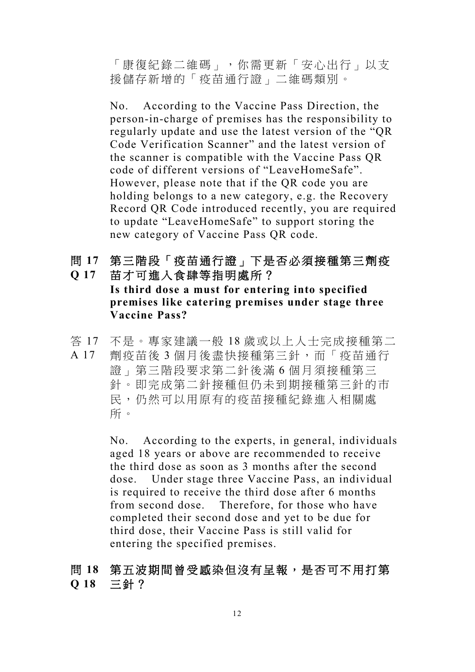「康復紀錄二維碼」,你需更新「安心出行」以支 援儲存新增的「疫苗通行證」二維碼類別。

No. According to the Vaccine Pass Direction, the person-in-charge of premises has the responsibility to regularly update and use the latest version of the "QR Code Verification Scanner" and the latest version of the scanner is compatible with the Vaccine Pass QR code of different versions of "LeaveHomeSafe". However, please note that if the QR code you are holding belongs to a new category, e.g. the Recovery Record QR Code introduced recently, you are required to update "LeaveHomeSafe" to support storing the new category of Vaccine Pass QR code.

## 問 **17** 第三階段「疫苗通行證」下是否必須接種第三劑疫 **Q 17** 苗才可進入食肆等指明處所?

**Is third dose a must for entering into specified premises like catering premises under stage three Vaccine Pass?**

答 17 不是。專家建議一般 18 歲或以上人士完成接種第二 A 17 劑疫苗後 3 個月後盡快接種第三針,而「疫苗通行 證」第三階段要求第二針後滿 6 個月須接種第三 針。即完成第二針接種但仍未到期接種第三針的市 民,仍然可以用原有的疫苗接種紀錄進入相關處 所。

> No. According to the experts, in general, individuals aged 18 years or above are recommended to receive the third dose as soon as 3 months after the second dose. Under stage three Vaccine Pass, an individual is required to receive the third dose after 6 months from second dose. Therefore, for those who have completed their second dose and yet to be due for third dose, their Vaccine Pass is still valid for entering the specified premises.

## 問 **18** 第五波期間曾受感染但沒有呈報,是否可不用打第 **Q 18** 三針?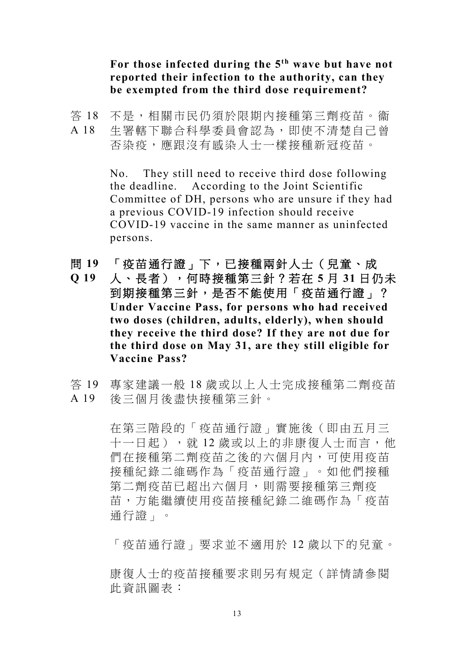**For those infected during the 5th wave but have not reported their infection to the authority, can they be exempted from the third dose requirement?**

- 答 18 不是,相關市民仍須於限期內接種第三劑疫苗。衞
- A 18 生署轄下聯合科學委員會認為,即使不清楚自己曾 否染疫,應跟沒有感染人士一樣接種新冠疫苗。

No. They still need to receive third dose following the deadline. According to the Joint Scientific Committee of DH, persons who are unsure if they had a previous COVID-19 infection should receive COVID-19 vaccine in the same manner as uninfected persons.

- 問 **19** 「疫苗通行證」下,已接種兩針人士(兒童、成
- **Q 19** 人、長者),何時接種第三針?若在 **5** 月 **31** 日仍未 到期接種第三針,是否不能使用「疫苗通行證」? **Under Vaccine Pass, for persons who had received two doses (children, adults, elderly), when should they receive the third dose? If they are not due for the third dose on May 31, are they still eligible for Vaccine Pass?**
- 答 19 專家建議一般 18 歲或以上人士完成接種第二劑疫苗 A 19 後三個月後盡快接種第三針。

在第三階段的「疫苗通行證」實施後(即由五月三 十一日起),就 12 歲或以上的非康復人士而言, 他 們在接種第二劑疫苗之後的六個月內,可使用疫苗 接種紀錄二維碼作為「疫苗通行證」。如他們接種 第二劑疫苗已超出六個月,則需要接種第三劑疫 苗,方能繼續使用疫苗接種紀錄二維碼作為「疫苗 通行證」。

「疫苗通行證」要求並不適用於 12 歲以下的兒童。

康復人士的疫苗接種要求則另有規定(詳情請參閱 此資訊圖表: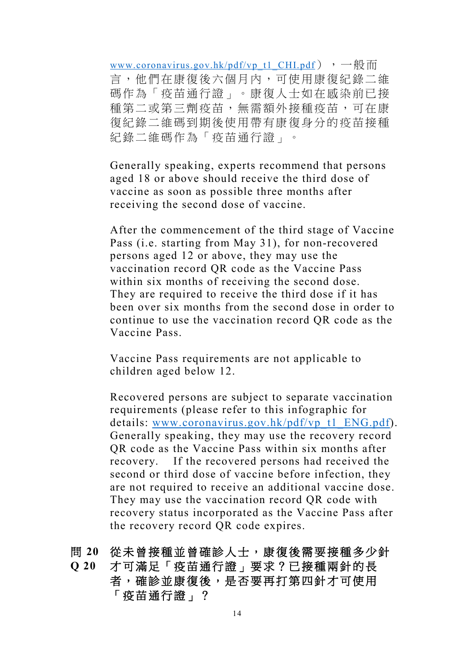[www.coronavirus.gov.hk/pdf/vp\\_t1\\_CHI.pdf](http://www.coronavirus.gov.hk/pdf/vp_t1_CHI.pdf)),  $\rightarrow \oplus \oplus m$ 言,他們在康復後六個月內,可使用康復紀錄二維 碼作為「疫苗通行證」。康復人士如在感染前已接 種第二或第三劑疫苗,無需額外接種疫苗,可在康 復紀錄二維碼到期後使用帶有康復身分的疫苗接種 紀錄二維碼作為「疫苗通行證」。

Generally speaking, experts recommend that persons aged 18 or above should receive the third dose of vaccine as soon as possible three months after receiving the second dose of vaccine.

After the commencement of the third stage of Vaccine Pass (i.e. starting from May 31), for non-recovered persons aged 12 or above, they may use the vaccination record QR code as the Vaccine Pass within six months of receiving the second dose. They are required to receive the third dose if it has been over six months from the second dose in order to continue to use the vaccination record QR code as the Vaccine Pass.

Vaccine Pass requirements are not applicable to children aged below 12.

Recovered persons are subject to separate vaccination requirements (please refer to this infographic for details: [www.coronavirus.gov.hk/pdf/vp\\_t1\\_ENG.pdf\)](http://www.coronavirus.gov.hk/pdf/vp_t1_ENG.pdf). Generally speaking, they may use the recovery record QR code as the Vaccine Pass within six months after recovery. If the recovered persons had received the second or third dose of vaccine before infection, they are not required to receive an additional vaccine dose. They may use the vaccination record QR code with recovery status incorporated as the Vaccine Pass after the recovery record QR code expires.

# 問 **20** 從未曾接種並曾確診人士,康復後需要接種多少針

## **Q 20** 才可滿足「疫苗通行證」要求?已接種兩針的長 者,確診並康復後,是否要再打第四針才可使用 「疫苗通行證」?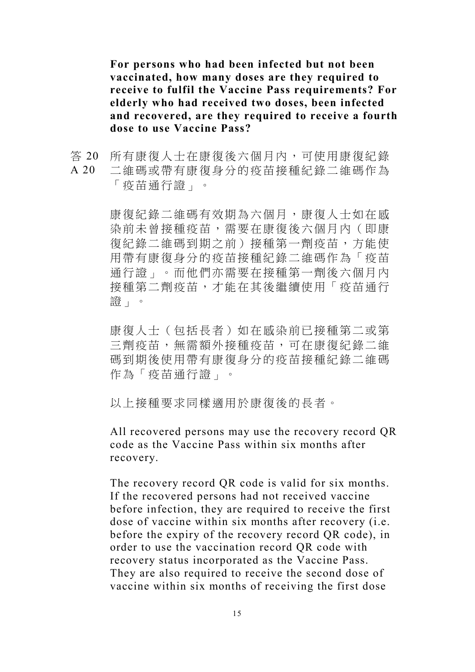**For persons who had been infected but not been vaccinated, how many doses are they required to receive to fulfil the Vaccine Pass requirements? For elderly who had received two doses, been infected and recovered, are they required to receive a fourth dose to use Vaccine Pass?**

答 20 A 20 所有康復人士在康復後六個月內,可使用康復紀錄 二維碼或帶有康復身分的疫苗接種紀錄二維碼作為 「疫苗通行證」。

> 康復紀錄二維碼有效期為六個月,康復人士如在感 染前未曾接種疫苗,需要在康復後六個月內(即康 復紀錄二維碼到期之前)接種第一劑疫苗,方能使 用帶有康復身分的疫苗接種紀錄二維碼作為「疫苗 通行證」。而他們亦需要在接種第一劑後六個月內 接種第二劑疫苗,才能在其後繼續使用「疫苗通行 證」。

> 康復人士(包括長者)如在感染前已接種第二或第 三劑疫苗,無需額外接種疫苗,可在康復紀錄二維 碼到期後使用帶有康復身分的疫苗接種紀錄二維碼 作為「疫苗通行證」。

以上接種要求同樣適用於康復後的長者。

All recovered persons may use the recovery record QR code as the Vaccine Pass within six months after recovery.

The recovery record QR code is valid for six months. If the recovered persons had not received vaccine before infection, they are required to receive the first dose of vaccine within six months after recovery (i.e. before the expiry of the recovery record QR code), in order to use the vaccination record QR code with recovery status incorporated as the Vaccine Pass. They are also required to receive the second dose of vaccine within six months of receiving the first dose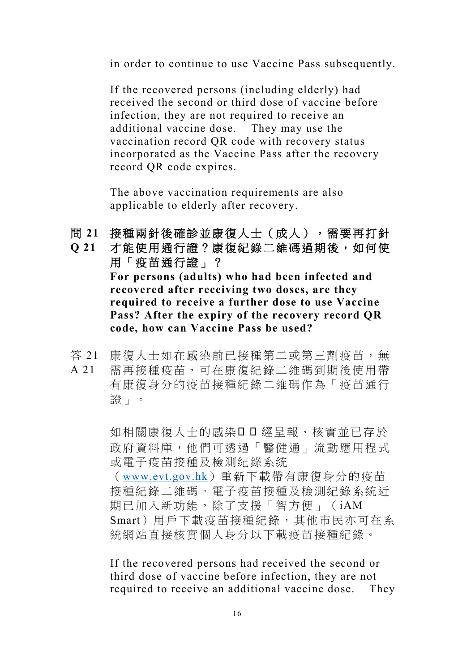in order to continue to use Vaccine Pass subsequently.

If the recovered persons (including elderly) had received the second or third dose of vaccine before infection, they are not required to receive an additional vaccine dose. They may use the vaccination record QR code with recovery status incorporated as the Vaccine Pass after the recovery record QR code expires.

The above vaccination requirements are also applicable to elderly after recovery.

- 問 **21** 接種兩針後確診並康復人士(成人),需要再打針
- **Q 21** 才能使用通行證?康復紀錄二維碼過期後,如何使 用「疫苗通行證」? **For persons (adults) who had been infected and recovered after receiving two doses, are they required to receive a further dose to use Vaccine Pass? After the expiry of the recovery record QR code, how can Vaccine Pass be used?**
- 答 21 A 21 康復人士如在感染前已接種第二或第三劑疫苗,無 需再接種疫苗,可在康復紀錄二維碼到期後使用帶 有康復身分的疫苗接種紀錄二維碼作為「疫苗通行 證」。

如相關康復人士的感染ロロ經呈報、核實並已存於 政府資料庫,他們可透過「醫健通」流動應用程式 或電子疫苗接種及檢測紀錄系統

([www.evt.gov.hk](http://www.evt.gov.hk/))重新下載帶有康復身分的疫苗 接種紀錄二維碼。電子疫苗接種及檢測紀錄系統近 期已加入新功能,除了支援「智方便」(iAM Smart)用戶下載疫苗接種紀錄,其他市民亦可在系 統網站直接核實個人身分以下載疫苗接種紀錄。

If the recovered persons had received the second or third dose of vaccine before infection, they are not required to receive an additional vaccine dose. They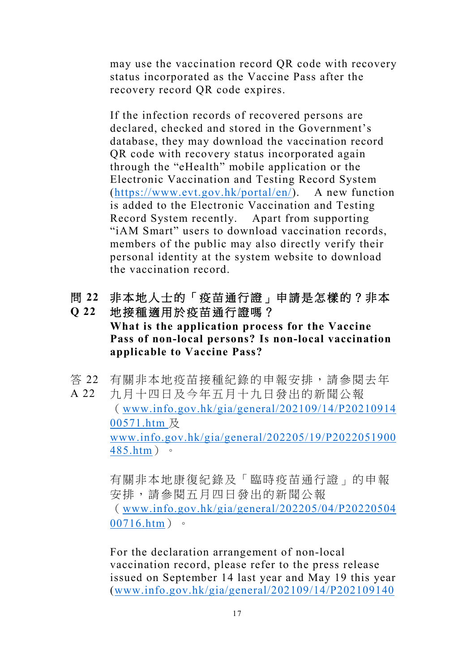may use the vaccination record QR code with recovery status incorporated as the Vaccine Pass after the recovery record QR code expires.

If the infection records of recovered persons are declared, checked and stored in the Government's database, they may download the vaccination record QR code with recovery status incorporated again through the "eHealth" mobile application or the Electronic Vaccination and Testing Record System [\(https://www.evt.gov.hk/portal/en/\)](https://www.evt.gov.hk/portal/en/). A new function is added to the Electronic Vaccination and Testing Record System recently. Apart from supporting "iAM Smart" users to download vaccination records, members of the public may also directly verify their personal identity at the system website to download the vaccination record.

- 問 **22** 非本地人士的「疫苗通行證」申請是怎樣的?非本 **Q 22** 地接種適用於疫苗通行證嗎?
- **What is the application process for the Vaccine Pass of non-local persons? Is non-local vaccination applicable to Vaccine Pass?**
- 答 22 有關非本地疫苗接種紀錄的申報安排,請參閱去年
- A 22 九月十四日及今年五月十九日發出的新聞公報 ([www.info.gov.hk/gia/general/202109/14/P20210914](http://www.info.gov.hk/gia/general/202109/14/P2021091400571.htm) [00571.htm](http://www.info.gov.hk/gia/general/202109/14/P2021091400571.htm) 及 [www.info.gov.hk/gia/general/202205/19/P2022051900](http://www.info.gov.hk/gia/general/202205/19/P2022051900485.htm) [485.htm](http://www.info.gov.hk/gia/general/202205/19/P2022051900485.htm))。

有關非本地康復紀錄及「臨時疫苗通行證」的申報 安排,請參閱五月四日發出的新聞公報 ([www.info.gov.hk/gia/general/202205/04/P20220504](http://www.info.gov.hk/gia/general/202205/04/P2022050400716.htm) [00716.htm](http://www.info.gov.hk/gia/general/202205/04/P2022050400716.htm))。

For the declaration arrangement of non-local vaccination record, please refer to the press release issued on September 14 last year and May 19 this year [\(www.info.gov.hk/gia/general/202109/14/P202109140](http://www.info.gov.hk/gia/general/202109/14/P2021091400572.htm)